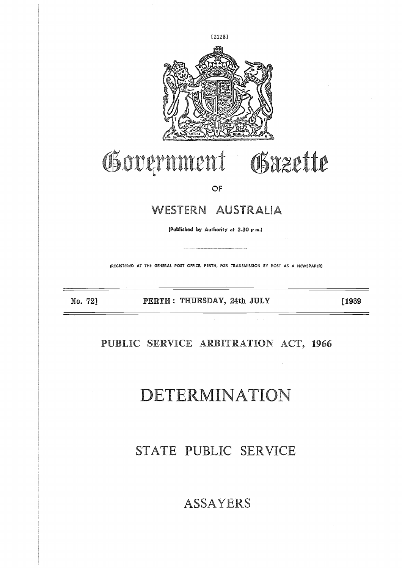

# Government Gazette

OF

### WESTERN AUSTRALIA

**(Published by Authority at 3.30 p m.)**

(REGISTERED AT THE GENERAL POST OFFICE, PERTH, FOR TRANSMISSION BY POST AS A NEWSPAPER)

No. 72] **PERTH : THURSDAY, 24th JULY [1969**

### **PUBLIC SERVICE ARBITRATION ACT, 1966**

## DETERMINATION

### STATE PUBLIC SERVICE

### ASSAYERS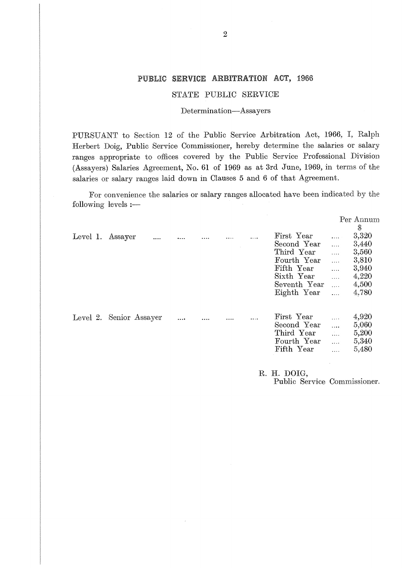#### PUBLIC **SERVICE ARBITRATION ACT,** 196

#### STATE PUBLIC SERVICE

#### Determination—Assayers

PURSUANT to Section 12 of the Public Service Arbitration Act, 1966, I, Ralph Herbert Doig, Public Service Commissioner, hereby determine the salaries or salary ranges appropriate to offices covered by the Public Service Professional Division (Assayers) Salaries Agreement, No. 61 of 1969 as at 3rd June, 1969, in terms of the salaries or salary ranges laid down in Clauses 5 and 6 of that Agreement.

For convenience the salaries or salary ranges allocated have been indicated by the following levels :—

|          |                         |          |  |          |              |                       | Per Annum    |
|----------|-------------------------|----------|--|----------|--------------|-----------------------|--------------|
|          |                         |          |  |          |              |                       | $\mathbb{S}$ |
| Level 1. | Assayer                 |          |  | $\cdots$ | First Year   | $\ldots$              | 3,320        |
|          |                         |          |  |          | Second Year  | .                     | 3,440        |
|          |                         |          |  |          | Third Year   | .                     | 3,560        |
|          |                         |          |  |          | Fourth Year  | $\cdots$              | 3,810        |
|          |                         |          |  |          | Fifth Year   | $\ldots$              | 3,940        |
|          |                         |          |  |          | Sixth Year   | $\cdots$              | 4,220        |
|          |                         |          |  |          | Seventh Year | $\cdots$              | 4,500        |
|          |                         |          |  |          | Eighth Year  | .                     | 4,780        |
|          | Level 2. Senior Assayer | $\cdots$ |  |          | First Year   | .                     | 4,920        |
|          |                         |          |  |          | Second Year  | $\cdots$              | 5,060        |
|          |                         |          |  |          | Third Year   | $\mathbb{Z}_{\geq 0}$ | 5,200        |
|          |                         |          |  |          | Fourth Year  | $\ldots$              | 5,340        |
|          |                         |          |  |          | Fifth Year   | .                     | 5,480        |
|          |                         |          |  |          |              |                       |              |

**R. H.** DOIG,

Public Service Commissioner.